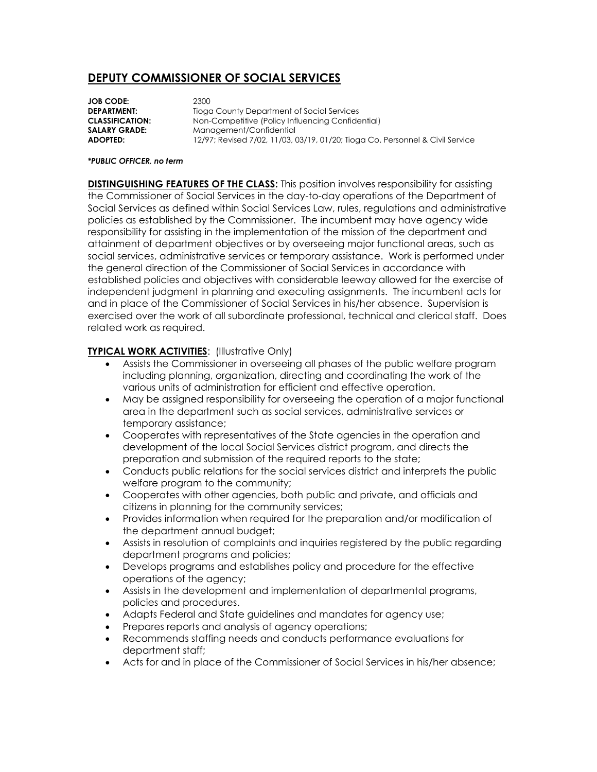## **DEPUTY COMMISSIONER OF SOCIAL SERVICES**

**JOB CODE:** 2300 **DEPARTMENT:** Tioga County Department of Social Services **CLASSIFICATION:** Non-Competitive (Policy Influencing Confidential) **SALARY GRADE:** Management/Confidential **ADOPTED:** 12/97; Revised 7/02, 11/03, 03/19, 01/20; Tioga Co. Personnel & Civil Service

## *\*PUBLIC OFFICER, no term*

**DISTINGUISHING FEATURES OF THE CLASS:** This position involves responsibility for assisting the Commissioner of Social Services in the day-to-day operations of the Department of Social Services as defined within Social Services Law, rules, regulations and administrative policies as established by the Commissioner. The incumbent may have agency wide responsibility for assisting in the implementation of the mission of the department and attainment of department objectives or by overseeing major functional areas, such as social services, administrative services or temporary assistance. Work is performed under the general direction of the Commissioner of Social Services in accordance with established policies and objectives with considerable leeway allowed for the exercise of independent judgment in planning and executing assignments. The incumbent acts for and in place of the Commissioner of Social Services in his/her absence. Supervision is exercised over the work of all subordinate professional, technical and clerical staff. Does related work as required.

## **TYPICAL WORK ACTIVITIES: (Illustrative Only)**

- Assists the Commissioner in overseeing all phases of the public welfare program including planning, organization, directing and coordinating the work of the various units of administration for efficient and effective operation.
- May be assigned responsibility for overseeing the operation of a major functional area in the department such as social services, administrative services or temporary assistance;
- Cooperates with representatives of the State agencies in the operation and development of the local Social Services district program, and directs the preparation and submission of the required reports to the state;
- Conducts public relations for the social services district and interprets the public welfare program to the community;
- Cooperates with other agencies, both public and private, and officials and citizens in planning for the community services;
- Provides information when required for the preparation and/or modification of the department annual budget;
- Assists in resolution of complaints and inquiries registered by the public regarding department programs and policies;
- Develops programs and establishes policy and procedure for the effective operations of the agency;
- Assists in the development and implementation of departmental programs, policies and procedures.
- Adapts Federal and State guidelines and mandates for agency use;
- Prepares reports and analysis of agency operations;
- Recommends staffing needs and conducts performance evaluations for department staff;
- Acts for and in place of the Commissioner of Social Services in his/her absence;